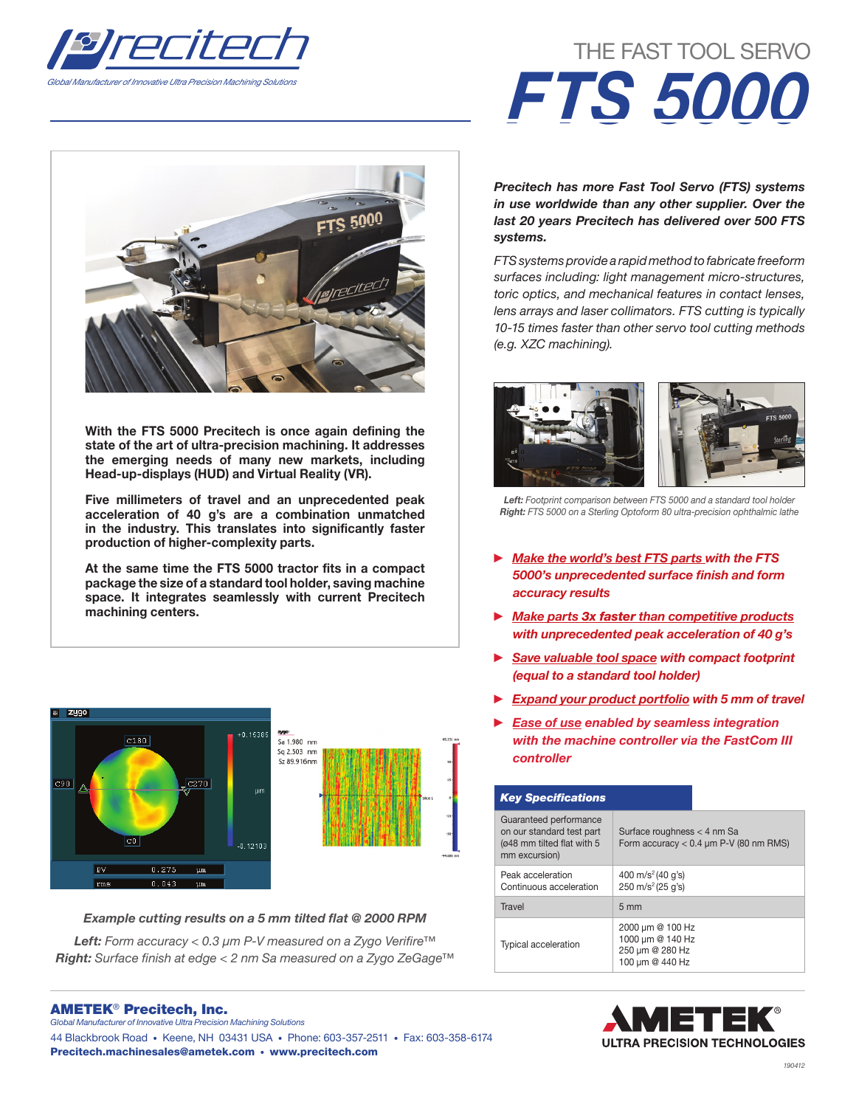

# **FTS 5000**

With the FTS 5000 Precitech is once again defining the state of the art of ultra-precision machining. It addresses the emerging needs of many new markets, including Head-up-displays (HUD) and Virtual Reality (VR).

Five millimeters of travel and an unprecedented peak acceleration of 40 g's are a combination unmatched in the industry. This translates into significantly faster production of higher-complexity parts.

At the same time the FTS 5000 tractor fits in a compact package the size of a standard tool holder, saving machine space. It integrates seamlessly with current Precitech machining centers.



## Example cutting results on a 5 mm tilted flat @ 2000 RPM

*Left:* Form accuracy < 0.3 µm P-V measured on a Zygo Verifire™ *Right:* Surface finish at edge < 2 nm Sa measured on a Zygo ZeGage™

### AMETEK® Precitech, Inc. *Global Manufacturer of Innovative Ultra Precision Machining Solutions*

44 Blackbrook Road • Keene, NH 03431 USA • Phone: 603-357-2511 • Fax: 603-358-6174

Precitech.machinesales@ametek.com • www.precitech.com

# THE FAST TOOL SERVO *FTS 5000*

*Precitech has more Fast Tool Servo (FTS) systems in use worldwide than any other supplier. Over the last 20 years Precitech has delivered over 500 FTS systems.*

*FTS systems provide a rapid method to fabricate freeform surfaces including: light management micro-structures, toric optics, and mechanical features in contact lenses, lens arrays and laser collimators. FTS cutting is typically 10-15 times faster than other servo tool cutting methods (e.g. XZC machining).*



*Left: Footprint comparison between FTS 5000 and a standard tool holder Right: FTS 5000 on a Sterling Optoform 80 ultra-precision ophthalmic lathe* 

- ► *Make the world's best FTS parts with the FTS*  5000's unprecedented surface finish and form *accuracy results*
- ► *Make parts 3x faster than competitive products with unprecedented peak acceleration of 40 g's*
- ► *Save valuable tool space with compact footprint (equal to a standard tool holder)*
- ► *Expand your product portfolio with 5 mm of travel*
- **Ease of use enabled by seamless integration** *with the machine controller via the FastCom III controller*

| <b>Key Specifications</b>                                                                          |                                                                            |
|----------------------------------------------------------------------------------------------------|----------------------------------------------------------------------------|
| Guaranteed performance<br>on our standard test part<br>(ø48 mm tilted flat with 5<br>mm excursion) | Surface roughness < 4 nm Sa<br>Form accuracy $< 0.4$ µm P-V (80 nm RMS)    |
| Peak acceleration<br>Continuous acceleration                                                       | 400 m/s <sup>2</sup> (40 q's)<br>$250 \text{ m/s}^2 (25 \text{ q's})$      |
| Travel                                                                                             | $5 \text{ mm}$                                                             |
| <b>Typical acceleration</b>                                                                        | 2000 µm @ 100 Hz<br>1000 µm @ 140 Hz<br>250 µm @ 280 Hz<br>100 µm @ 440 Hz |